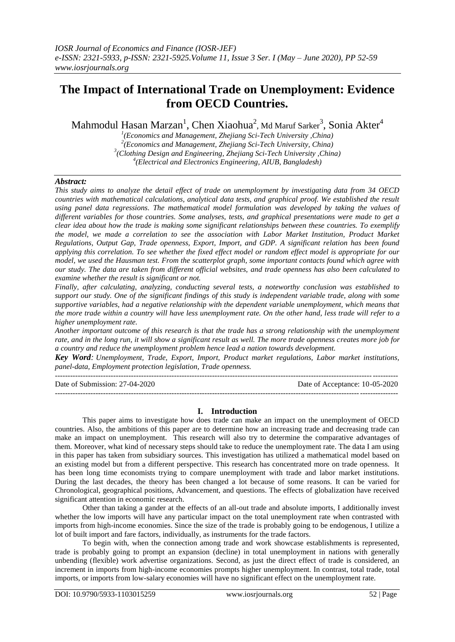# **The Impact of International Trade on Unemployment: Evidence from OECD Countries.**

Mahmodul Hasan Marzan $^1$ , Chen Xiaohua $^2$ , Md Maruf Sarker $^3$ , Sonia Akter $^4$ 

 *(Economics and Management, Zhejiang Sci-Tech University ,China) (Economics and Management, Zhejiang Sci-Tech University, China) (Clothing Design and Engineering, Zhejiang Sci-Tech University ,China) (Electrical and Electronics Engineering, AIUB, Bangladesh)* 

# *Abstract:*

*This study aims to analyze the detail effect of trade on unemployment by investigating data from 34 OECD countries with mathematical calculations, analytical data tests, and graphical proof. We established the result using panel data regressions. The mathematical model formulation was developed by taking the values of different variables for those countries. Some analyses, tests, and graphical presentations were made to get a clear idea about how the trade is making some significant relationships between these countries. To exemplify the model, we made a correlation to see the association with Labor Market Institution, Product Market Regulations, Output Gap, Trade openness, Export, Import, and GDP. A significant relation has been found applying this correlation. To see whether the fixed effect model or random effect model is appropriate for our model, we used the Hausman test. From the scatterplot graph, some important contacts found which agree with our study. The data are taken from different official websites, and trade openness has also been calculated to examine whether the result is significant or not.*

*Finally, after calculating, analyzing, conducting several tests, a noteworthy conclusion was established to support our study. One of the significant findings of this study is independent variable trade, along with some supportive variables, had a negative relationship with the dependent variable unemployment, which means that the more trade within a country will have less unemployment rate. On the other hand, less trade will refer to a higher unemployment rate.*

*Another important outcome of this research is that the trade has a strong relationship with the unemployment rate, and in the long run, it will show a significant result as well. The more trade openness creates more job for a country and reduce the unemployment problem hence lead a nation towards development.*

*Key Word: Unemployment, Trade, Export, Import, Product market regulations, Labor market institutions, panel-data, Employment protection legislation, Trade openness.*

---------------------------------------------------------------------------------------------------------------------------------------

Date of Submission: 27-04-2020 Date of Acceptance: 10-05-2020 ---------------------------------------------------------------------------------------------------------------------------------------

# **I. Introduction**

This paper aims to investigate how does trade can make an impact on the unemployment of OECD countries. Also, the ambitions of this paper are to determine how an increasing trade and decreasing trade can make an impact on unemployment. This research will also try to determine the comparative advantages of them. Moreover, what kind of necessary steps should take to reduce the unemployment rate. The data I am using in this paper has taken from subsidiary sources. This investigation has utilized a mathematical model based on an existing model but from a different perspective. This research has concentrated more on trade openness. It has been long time economists trying to compare unemployment with trade and labor market institutions. During the last decades, the theory has been changed a lot because of some reasons. It can be varied for Chronological, geographical positions, Advancement, and questions. The effects of globalization have received significant attention in economic research.

Other than taking a gander at the effects of an all-out trade and absolute imports, I additionally invest whether the low imports will have any particular impact on the total unemployment rate when contrasted with imports from high-income economies. Since the size of the trade is probably going to be endogenous, I utilize a lot of built import and fare factors, individually, as instruments for the trade factors.

To begin with, when the connection among trade and work showcase establishments is represented, trade is probably going to prompt an expansion (decline) in total unemployment in nations with generally unbending (flexible) work advertise organizations. Second, as just the direct effect of trade is considered, an increment in imports from high-income economies prompts higher unemployment. In contrast, total trade, total imports, or imports from low-salary economies will have no significant effect on the unemployment rate.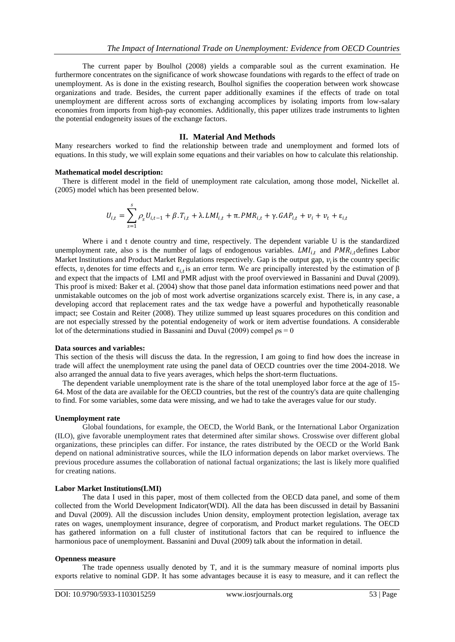The current paper by Boulhol (2008) yields a comparable soul as the current examination. He furthermore concentrates on the significance of work showcase foundations with regards to the effect of trade on unemployment. As is done in the existing research, Boulhol signifies the cooperation between work showcase organizations and trade. Besides, the current paper additionally examines if the effects of trade on total unemployment are different across sorts of exchanging accomplices by isolating imports from low-salary economies from imports from high-pay economies. Additionally, this paper utilizes trade instruments to lighten the potential endogeneity issues of the exchange factors.

## **II. Material And Methods**

Many researchers worked to find the relationship between trade and unemployment and formed lots of equations. In this study, we will explain some equations and their variables on how to calculate this relationship.

#### **Mathematical model description:**

 There is different model in the field of unemployment rate calculation, among those model, Nickellet al. (2005) model which has been presented below.

$$
U_{i,t} = \sum_{s=1}^{s} \rho_s U_{i,t-1} + \beta \cdot T_{i,t} + \lambda \cdot LMI_{i,t} + \pi \cdot PMR_{i,t} + \gamma \cdot GAP_{i,t} + v_i + v_t + \varepsilon_{i,t}
$$

Where i and t denote country and time, respectively. The dependent variable U is the standardized unemployment rate, also s is the number of lags of endogenous variables.  $LM_{i,t}$  and  $PMR_{i,t}$  defines Labor Market Institutions and Product Market Regulations respectively. Gap is the output gap,  $v_i$  is the country specific effects,  $v_t$  denotes for time effects and  $\varepsilon_{i,t}$  is an error term. We are principally interested by the estimation of  $\beta$ and expect that the impacts of LMI and PMR adjust with the proof overviewed in Bassanini and Duval (2009). This proof is mixed: Baker et al. (2004) show that those panel data information estimations need power and that unmistakable outcomes on the job of most work advertise organizations scarcely exist. There is, in any case, a developing accord that replacement rates and the tax wedge have a powerful and hypothetically reasonable impact; see Costain and Reiter (2008). They utilize summed up least squares procedures on this condition and are not especially stressed by the potential endogeneity of work or item advertise foundations. A considerable lot of the determinations studied in Bassanini and Duval (2009) compel  $p_s = 0$ 

#### **Data sources and variables:**

This section of the thesis will discuss the data. In the regression, I am going to find how does the increase in trade will affect the unemployment rate using the panel data of OECD countries over the time 2004-2018. We also arranged the annual data to five years averages, which helps the short-term fluctuations.

 The dependent variable unemployment rate is the share of the total unemployed labor force at the age of 15- 64. Most of the data are available for the OECD countries, but the rest of the country's data are quite challenging to find. For some variables, some data were missing, and we had to take the averages value for our study.

#### **Unemployment rate**

Global foundations, for example, the OECD, the World Bank, or the International Labor Organization (ILO), give favorable unemployment rates that determined after similar shows. Crosswise over different global organizations, these principles can differ. For instance, the rates distributed by the OECD or the World Bank depend on national administrative sources, while the ILO information depends on labor market overviews. The previous procedure assumes the collaboration of national factual organizations; the last is likely more qualified for creating nations.

#### **Labor Market Institutions(LMI)**

The data I used in this paper, most of them collected from the OECD data panel, and some of them collected from the World Development Indicator(WDI). All the data has been discussed in detail by Bassanini and Duval (2009). All the discussion includes Union density, employment protection legislation, average tax rates on wages, unemployment insurance, degree of corporatism, and Product market regulations. The OECD has gathered information on a full cluster of institutional factors that can be required to influence the harmonious pace of unemployment. Bassanini and Duval (2009) talk about the information in detail.

#### **Openness measure**

The trade openness usually denoted by T, and it is the summary measure of nominal imports plus exports relative to nominal GDP. It has some advantages because it is easy to measure, and it can reflect the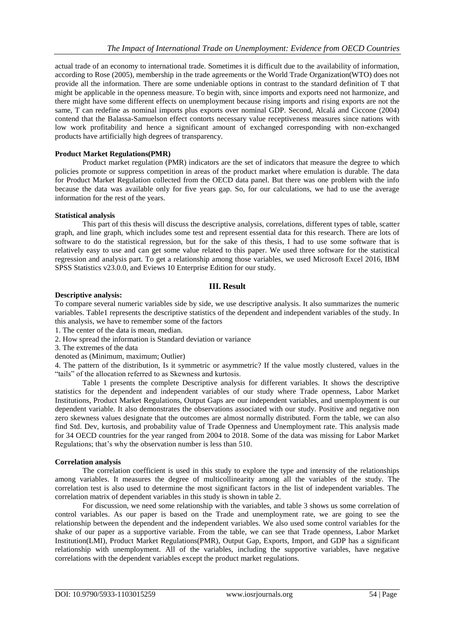actual trade of an economy to international trade. Sometimes it is difficult due to the availability of information, according to Rose (2005), membership in the trade agreements or the World Trade Organization(WTO) does not provide all the information. There are some undeniable options in contrast to the standard definition of T that might be applicable in the openness measure. To begin with, since imports and exports need not harmonize, and there might have some different effects on unemployment because rising imports and rising exports are not the same, T can redefine as nominal imports plus exports over nominal GDP. Second, Alcalá and Ciccone (2004) contend that the Balassa-Samuelson effect contorts necessary value receptiveness measures since nations with low work profitability and hence a significant amount of exchanged corresponding with non-exchanged products have artificially high degrees of transparency.

### **Product Market Regulations(PMR)**

Product market regulation (PMR) indicators are the set of indicators that measure the degree to which policies promote or suppress competition in areas of the product market where emulation is durable. The data for Product Market Regulation collected from the OECD data panel. But there was one problem with the info because the data was available only for five years gap. So, for our calculations, we had to use the average information for the rest of the years.

### **Statistical analysis**

This part of this thesis will discuss the descriptive analysis, correlations, different types of table, scatter graph, and line graph, which includes some test and represent essential data for this research. There are lots of software to do the statistical regression, but for the sake of this thesis, I had to use some software that is relatively easy to use and can get some value related to this paper. We used three software for the statistical regression and analysis part. To get a relationship among those variables, we used Microsoft Excel 2016, IBM SPSS Statistics v23.0.0, and Eviews 10 Enterprise Edition for our study.

### **III. Result**

### **Descriptive analysis:**

To compare several numeric variables side by side, we use descriptive analysis. It also summarizes the numeric variables. Table1 represents the descriptive statistics of the dependent and independent variables of the study. In this analysis, we have to remember some of the factors

- 1. The center of the data is mean, median.
- 2. How spread the information is Standard deviation or variance
- 3. The extremes of the data
- denoted as (Minimum, maximum; Outlier)

4. The pattern of the distribution, Is it symmetric or asymmetric? If the value mostly clustered, values in the "tails" of the allocation referred to as Skewness and kurtosis.

Table 1 presents the complete Descriptive analysis for different variables. It shows the descriptive statistics for the dependent and independent variables of our study where Trade openness, Labor Market Institutions, Product Market Regulations, Output Gaps are our independent variables, and unemployment is our dependent variable. It also demonstrates the observations associated with our study. Positive and negative non zero skewness values designate that the outcomes are almost normally distributed. Form the table, we can also find Std. Dev, kurtosis, and probability value of Trade Openness and Unemployment rate. This analysis made for 34 OECD countries for the year ranged from 2004 to 2018. Some of the data was missing for Labor Market Regulations; that's why the observation number is less than 510.

#### **Correlation analysis**

The correlation coefficient is used in this study to explore the type and intensity of the relationships among variables. It measures the degree of multicollinearity among all the variables of the study. The correlation test is also used to determine the most significant factors in the list of independent variables. The correlation matrix of dependent variables in this study is shown in table 2.

For discussion, we need some relationship with the variables, and table 3 shows us some correlation of control variables. As our paper is based on the Trade and unemployment rate, we are going to see the relationship between the dependent and the independent variables. We also used some control variables for the shake of our paper as a supportive variable. From the table, we can see that Trade openness, Labor Market Institution(LMI), Product Market Regulations(PMR), Output Gap, Exports, Import, and GDP has a significant relationship with unemployment. All of the variables, including the supportive variables, have negative correlations with the dependent variables except the product market regulations.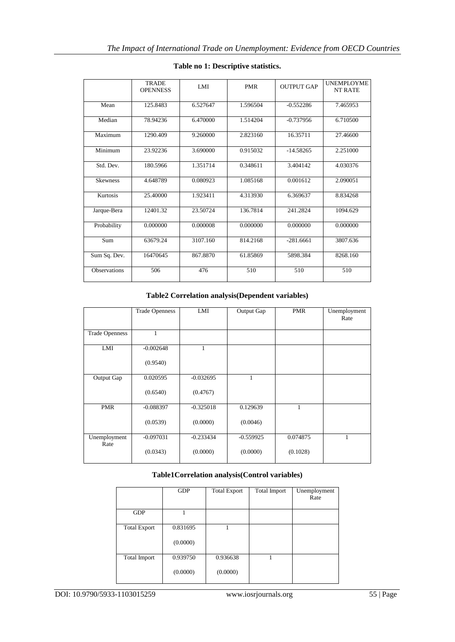|                     | <b>TRADE</b><br><b>OPENNESS</b> | LMI                   | <b>PMR</b> | <b>OUTPUT GAP</b> | <b>UNEMPLOYME</b><br><b>NT RATE</b> |
|---------------------|---------------------------------|-----------------------|------------|-------------------|-------------------------------------|
| Mean                | 125.8483                        | 6.527647              | 1.596504   | $-0.552286$       | 7.465953                            |
| Median              | 78.94236                        | 6.470000              | 1.514204   | $-0.737956$       | 6.710500                            |
| Maximum             | 1290.409                        | 9.260000              | 2.823160   | 16.35711          | 27.46600                            |
| Minimum             | 23.92236                        | 3.690000              | 0.915032   | $-14.58265$       | 2.251000                            |
| Std. Dev.           | 180.5966                        | 1.351714              | 0.348611   | 3.404142          | 4.030376                            |
| <b>Skewness</b>     | 4.648789                        | 0.080923              | 1.085168   | 0.001612          | 2.090051                            |
| Kurtosis            | 25.40000                        | $1.9234\overline{11}$ | 4.313930   | 6.369637          | 8.834268                            |
| Jarque-Bera         | 12401.32                        | 23.50724              | 136.7814   | 241.2824          | 1094.629                            |
| Probability         | 0.000000                        | 0.000008              | 0.000000   | 0.000000          | 0.000000                            |
| Sum                 | 63679.24                        | 3107.160              | 814.2168   | $-281.6661$       | 3807.636                            |
| Sum Sq. Dev.        | 16470645                        | 867.8870              | 61.85869   | 5898.384          | 8268.160                            |
| <b>Observations</b> | 506                             | 476                   | 510        | 510               | 510                                 |

# **Table no 1: Descriptive statistics.**

**Table2 Correlation analysis(Dependent variables)**

|                       | <b>Trade Openness</b>   | LMI                     | Output Gap              | <b>PMR</b>           | Unemployment<br>Rate |
|-----------------------|-------------------------|-------------------------|-------------------------|----------------------|----------------------|
| <b>Trade Openness</b> | 1                       |                         |                         |                      |                      |
| LMI                   | $-0.002648$<br>(0.9540) | 1                       |                         |                      |                      |
| Output Gap            | 0.020595<br>(0.6540)    | $-0.032695$<br>(0.4767) | 1                       |                      |                      |
| <b>PMR</b>            | $-0.088397$<br>(0.0539) | $-0.325018$<br>(0.0000) | 0.129639<br>(0.0046)    | $\mathbf{1}$         |                      |
| Unemployment<br>Rate  | $-0.097031$<br>(0.0343) | $-0.233434$<br>(0.0000) | $-0.559925$<br>(0.0000) | 0.074875<br>(0.1028) | 1                    |

# **Table1Correlation analysis(Control variables)**

|                     | <b>GDP</b> | <b>Total Export</b> | <b>Total Import</b> | Unemployment<br>Rate |
|---------------------|------------|---------------------|---------------------|----------------------|
| <b>GDP</b>          |            |                     |                     |                      |
| <b>Total Export</b> | 0.831695   |                     |                     |                      |
|                     | (0.0000)   |                     |                     |                      |
| <b>Total Import</b> | 0.939750   | 0.936638            |                     |                      |
|                     | (0.0000)   | (0.0000)            |                     |                      |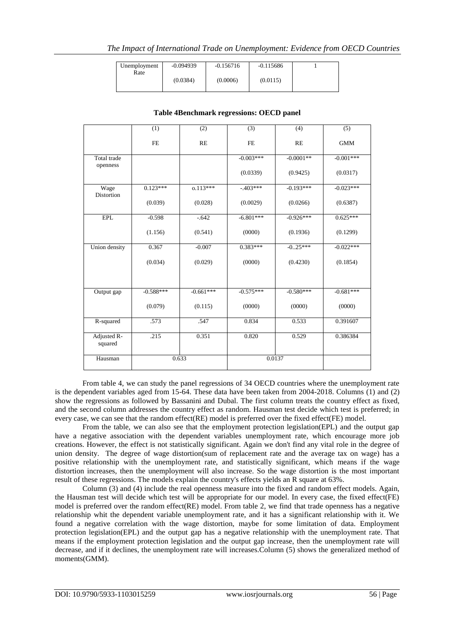| Unemployment | $-0.094939$ | $-0.156716$ | $-0.115686$ |  |
|--------------|-------------|-------------|-------------|--|
| Rate         | (0.0384)    | (0.0006)    | (0.0115)    |  |
|              |             |             |             |  |

|                        | (1)         | (2)         | (3)         | (4)         | (5)         |
|------------------------|-------------|-------------|-------------|-------------|-------------|
|                        | <b>FE</b>   | RE          | <b>FE</b>   | RE          | <b>GMM</b>  |
| Total trade            |             |             | $-0.003***$ | $-0.0001**$ | $-0.001***$ |
| openness               |             |             | (0.0339)    | (0.9425)    | (0.0317)    |
| Wage<br>Distortion     | $0.123***$  | $0.113***$  | $-403***$   | $-0.193***$ | $-0.023***$ |
|                        | (0.039)     | (0.028)     | (0.0029)    | (0.0266)    | (0.6387)    |
| <b>EPL</b>             | $-0.598$    | $-.642$     | $-6.801***$ | $-0.926***$ | $0.625***$  |
|                        | (1.156)     | (0.541)     | (0000)      | (0.1936)    | (0.1299)    |
| Union density          | 0.367       | $-0.007$    | $0.383***$  | $-0.25***$  | $-0.022***$ |
|                        | (0.034)     | (0.029)     | (0000)      | (0.4230)    | (0.1854)    |
|                        |             |             |             |             |             |
| Output gap             | $-0.588***$ | $-0.661***$ | $-0.575***$ | $-0.580***$ | $-0.681***$ |
|                        | (0.079)     | (0.115)     | (0000)      | (0000)      | (0000)      |
| R-squared              | .573        | .547        | 0.834       | 0.533       | 0.391607    |
| Adjusted R-<br>squared | .215        | 0.351       | 0.820       | 0.529       | 0.386384    |
| Hausman                |             | 0.633       |             | 0.0137      |             |

# **Table 4Benchmark regressions: OECD panel**

From table 4, we can study the panel regressions of 34 OECD countries where the unemployment rate is the dependent variables aged from 15-64. These data have been taken from 2004-2018. Columns (1) and (2) show the regressions as followed by Bassanini and Dubal. The first column treats the country effect as fixed, and the second column addresses the country effect as random. Hausman test decide which test is preferred; in every case, we can see that the random effect(RE) model is preferred over the fixed effect(FE) model.

From the table, we can also see that the employment protection legislation(EPL) and the output gap have a negative association with the dependent variables unemployment rate, which encourage more job creations. However, the effect is not statistically significant. Again we don't find any vital role in the degree of union density. The degree of wage distortion(sum of replacement rate and the average tax on wage) has a positive relationship with the unemployment rate, and statistically significant, which means if the wage distortion increases, then the unemployment will also increase. So the wage distortion is the most important result of these regressions. The models explain the country's effects yields an R square at 63%.

Column (3) and (4) include the real openness measure into the fixed and random effect models. Again, the Hausman test will decide which test will be appropriate for our model. In every case, the fixed effect(FE) model is preferred over the random effect(RE) model. From table 2, we find that trade openness has a negative relationship whit the dependent variable unemployment rate, and it has a significant relationship with it. We found a negative correlation with the wage distortion, maybe for some limitation of data. Employment protection legislation(EPL) and the output gap has a negative relationship with the unemployment rate. That means if the employment protection legislation and the output gap increase, then the unemployment rate will decrease, and if it declines, the unemployment rate will increases.Column (5) shows the generalized method of moments(GMM).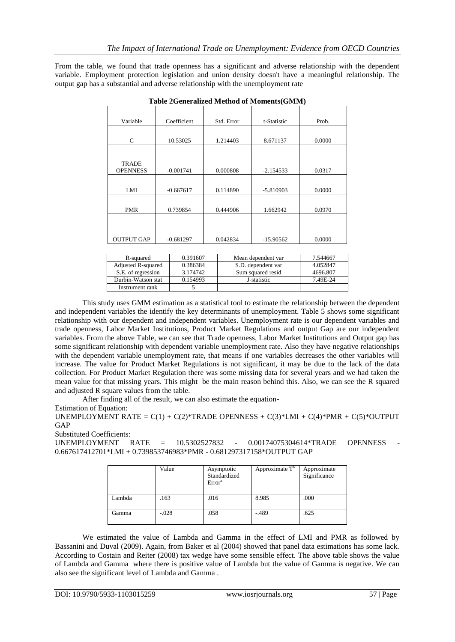From the table, we found that trade openness has a significant and adverse relationship with the dependent variable. Employment protection legislation and union density doesn't have a meaningful relationship. The output gap has a substantial and adverse relationship with the unemployment rate

| Variable                        | Coefficient | Std. Error | t-Statistic | Prob.  |
|---------------------------------|-------------|------------|-------------|--------|
|                                 |             |            |             |        |
| C                               | 10.53025    | 1.214403   | 8.671137    | 0.0000 |
|                                 |             |            |             |        |
| <b>TRADE</b><br><b>OPENNESS</b> | $-0.001741$ | 0.000808   | $-2.154533$ | 0.0317 |
|                                 |             |            |             |        |
| LMI                             | $-0.667617$ | 0.114890   | $-5.810903$ | 0.0000 |
|                                 |             |            |             |        |
| <b>PMR</b>                      | 0.739854    | 0.444906   | 1.662942    | 0.0970 |
|                                 |             |            |             |        |
|                                 |             |            |             |        |
| <b>OUTPUT GAP</b>               | $-0.681297$ | 0.042834   | $-15.90562$ | 0.0000 |

|  | Table 2Generalized Method of Moments(GMM) |  |
|--|-------------------------------------------|--|
|  |                                           |  |

| R-squared          | 0.391607 | Mean dependent var | 7.544667 |
|--------------------|----------|--------------------|----------|
| Adjusted R-squared | 0.386384 | S.D. dependent var | 4.052847 |
| S.E. of regression | 3.174742 | Sum squared resid  | 4696.807 |
| Durbin-Watson stat | 0.154993 | J-statistic        | 7.49E-24 |
| Instrument rank    |          |                    |          |

This study uses GMM estimation as a statistical tool to estimate the relationship between the dependent and independent variables the identify the key determinants of unemployment. Table 5 shows some significant relationship with our dependent and independent variables. Unemployment rate is our dependent variables and trade openness, Labor Market Institutions, Product Market Regulations and output Gap are our independent variables. From the above Table, we can see that Trade openness, Labor Market Institutions and Output gap has some significant relationship with dependent variable unemployment rate. Also they have negative relationships with the dependent variable unemployment rate, that means if one variables decreases the other variables will increase. The value for Product Market Regulations is not significant, it may be due to the lack of the data collection. For Product Market Regulation there was some missing data for several years and we had taken the mean value for that missing years. This might be the main reason behind this. Also, we can see the R squared and adjusted R square values from the table.

After finding all of the result, we can also estimate the equation-

Estimation of Equation:

UNEMPLOYMENT RATE =  $C(1) + C(2)$ \*TRADE OPENNESS +  $C(3)$ \*LMI +  $C(4)$ \*PMR +  $C(5)$ \*OUTPUT GAP

Substituted Coefficients:

 $UNEMPLOYMENT$  RATE =  $10.5302527832$  -  $0.00174075304614*TRADE$  OPENNESS 0.667617412701\*LMI + 0.739853746983\*PMR - 0.681297317158\*OUTPUT GAP

|        | Value   | Asymptotic<br>Standardized<br>Error <sup>a</sup> | Approximate $T^b$ | Approximate<br>Significance |
|--------|---------|--------------------------------------------------|-------------------|-----------------------------|
| Lambda | .163    | .016                                             | 8.985             | .000                        |
| Gamma  | $-.028$ | .058                                             | $-489$            | .625                        |

We estimated the value of Lambda and Gamma in the effect of LMI and PMR as followed by Bassanini and Duval (2009). Again, from Baker et al (2004) showed that panel data estimations has some lack. According to Costain and Reiter (2008) tax wedge have some sensible effect. The above table shows the value of Lambda and Gamma where there is positive value of Lambda but the value of Gamma is negative. We can also see the significant level of Lambda and Gamma .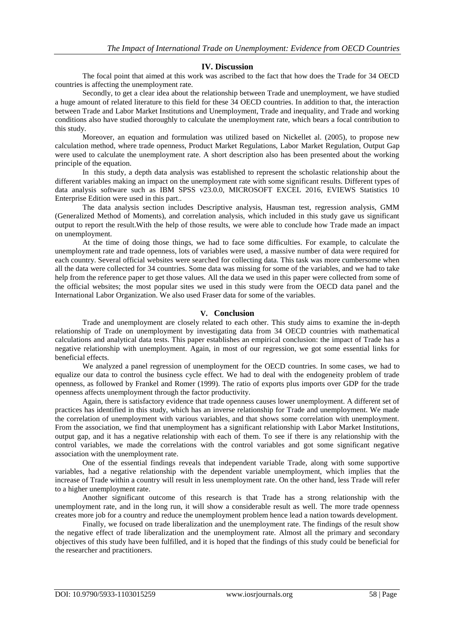#### **IV. Discussion**

The focal point that aimed at this work was ascribed to the fact that how does the Trade for 34 OECD countries is affecting the unemployment rate.

Secondly, to get a clear idea about the relationship between Trade and unemployment, we have studied a huge amount of related literature to this field for these 34 OECD countries. In addition to that, the interaction between Trade and Labor Market Institutions and Unemployment, Trade and inequality, and Trade and working conditions also have studied thoroughly to calculate the unemployment rate, which bears a focal contribution to this study.

Moreover, an equation and formulation was utilized based on Nickellet al. (2005), to propose new calculation method, where trade openness, Product Market Regulations, Labor Market Regulation, Output Gap were used to calculate the unemployment rate. A short description also has been presented about the working principle of the equation.

In this study, a depth data analysis was established to represent the scholastic relationship about the different variables making an impact on the unemployment rate with some significant results. Different types of data analysis software such as IBM SPSS v23.0.0, MICROSOFT EXCEL 2016, EVIEWS Statistics 10 Enterprise Edition were used in this part..

The data analysis section includes Descriptive analysis, Hausman test, regression analysis, GMM (Generalized Method of Moments), and correlation analysis, which included in this study gave us significant output to report the result.With the help of those results, we were able to conclude how Trade made an impact on unemployment.

At the time of doing those things, we had to face some difficulties. For example, to calculate the unemployment rate and trade openness, lots of variables were used, a massive number of data were required for each country. Several official websites were searched for collecting data. This task was more cumbersome when all the data were collected for 34 countries. Some data was missing for some of the variables, and we had to take help from the reference paper to get those values. All the data we used in this paper were collected from some of the official websites; the most popular sites we used in this study were from the OECD data panel and the International Labor Organization. We also used Fraser data for some of the variables.

### **V. Conclusion**

Trade and unemployment are closely related to each other. This study aims to examine the in-depth relationship of Trade on unemployment by investigating data from 34 OECD countries with mathematical calculations and analytical data tests. This paper establishes an empirical conclusion: the impact of Trade has a negative relationship with unemployment. Again, in most of our regression, we got some essential links for beneficial effects.

We analyzed a panel regression of unemployment for the OECD countries. In some cases, we had to equalize our data to control the business cycle effect. We had to deal with the endogeneity problem of trade openness, as followed by Frankel and Romer (1999). The ratio of exports plus imports over GDP for the trade openness affects unemployment through the factor productivity.

Again, there is satisfactory evidence that trade openness causes lower unemployment. A different set of practices has identified in this study, which has an inverse relationship for Trade and unemployment. We made the correlation of unemployment with various variables, and that shows some correlation with unemployment. From the association, we find that unemployment has a significant relationship with Labor Market Institutions, output gap, and it has a negative relationship with each of them. To see if there is any relationship with the control variables, we made the correlations with the control variables and got some significant negative association with the unemployment rate.

One of the essential findings reveals that independent variable Trade, along with some supportive variables, had a negative relationship with the dependent variable unemployment, which implies that the increase of Trade within a country will result in less unemployment rate. On the other hand, less Trade will refer to a higher unemployment rate.

Another significant outcome of this research is that Trade has a strong relationship with the unemployment rate, and in the long run, it will show a considerable result as well. The more trade openness creates more job for a country and reduce the unemployment problem hence lead a nation towards development.

Finally, we focused on trade liberalization and the unemployment rate. The findings of the result show the negative effect of trade liberalization and the unemployment rate. Almost all the primary and secondary objectives of this study have been fulfilled, and it is hoped that the findings of this study could be beneficial for the researcher and practitioners.